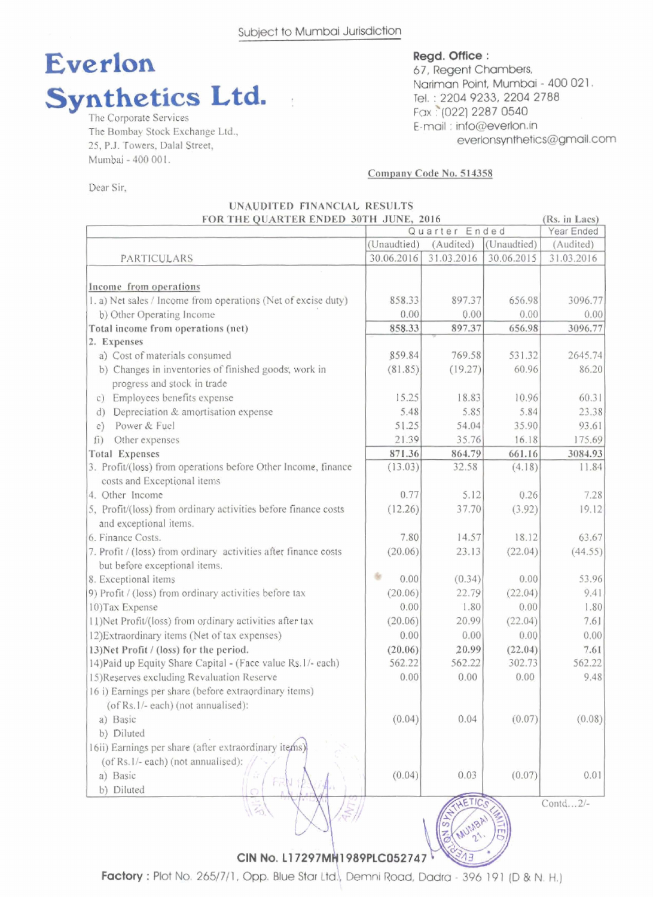

**The Corporate Services The Bombay Stock Exchange Ltd., 25, P.J. Towers, Dalal Street, Mmbi** - **400 001.** 

**Dear Sir,** 

**67,** Regent **Chambers,**  Narlm Point, **Mumbal** - **400 021** . **Tel.** : **2204 9233,2204 2788 Fax '(022) 2287 0540**  E-mail : info@everlon.in  $e$ verlonsynthetics@gmail.com

**Ra in hcs** 

#### **Comuanv Code No. 514358**

| UNAUDITED FINANCIAL RESULTS           |  |  |
|---------------------------------------|--|--|
| FOR THE OUARTER ENDED 30TH JUNE, 2016 |  |  |

|                                                                                              | Quarter Ended |               | Year Ended  |            |
|----------------------------------------------------------------------------------------------|---------------|---------------|-------------|------------|
|                                                                                              | (Unaudtied)   | (Audited)     | (Unaudtied) | (Audited)  |
| PARTICULARS                                                                                  | 30.06.2016    | 31.03.2016    | 30.06.2015  | 31.03.2016 |
|                                                                                              |               |               |             |            |
| Income from operations                                                                       |               |               |             |            |
| 1. a) Net sales / Income from operations (Net of excise duty)                                | 858.33        | 897.37        | 656.98      | 3096.77    |
| b) Other Operating Income                                                                    | 0.00          | 0.00          | 0.00        | 0.00       |
| Total income from operations (net)                                                           | 858.33        | 897.37        | 656.98      | 3096.77    |
| 2. Expenses                                                                                  |               |               |             |            |
| a) Cost of materials consumed                                                                | 859.84        | 769.58        | 531.32      | 2645.74    |
| b) Changes in inventories of finished goods, work in                                         | (81.85)       | (19.27)       | 60.96       | 86.20      |
| progress and stock in trade                                                                  |               |               |             |            |
| c) Employees benefits expense                                                                | 15.25         | 18.83         | 10.96       | 60.31      |
| Depreciation & amortisation expense<br>d)                                                    | 5.48          | 5.85          | 5.84        | 23.38      |
| Power & Fuel<br>$\in)$                                                                       | 51.25         | 54.04         | 35.90       | 93.61      |
| Other expenses<br>(i)                                                                        | 21.39         | 35.76         | 16.18       | 175.69     |
| <b>Total Expenses</b>                                                                        | 871.36        | 864.79        | 661.16      | 3084.93    |
| 3. Profit/(loss) from operations before Other Income, finance<br>costs and Exceptional items | (13.03)       | 32.58         | (4.18)      | 11.84      |
| 4. Other Income                                                                              | 0.77          | 5.12          | 0.26        | 7.28       |
| 5, Profit/(loss) from ordinary activities before finance costs                               | (12.26)       | 37.70         | (3.92)      | 19.12      |
| and exceptional items.                                                                       |               |               |             |            |
| 6. Finance Costs.                                                                            | 7.80          | 14.57         | 18.12       | 63.67      |
| 7. Profit / (loss) from ordinary activities after finance costs                              | (20.06)       | 23.13         | (22.04)     | (44.55)    |
| but before exceptional items.                                                                |               |               |             |            |
| 8. Exceptional items                                                                         | 告<br>0.00     | (0.34)        | 0.00        | 53.96      |
| 9) Profit / (loss) from ordinary activities before tax                                       | (20.06)       | 22.79         | (22.04)     | 9.41       |
| 10) Tax Expense                                                                              | 0.00          | 1.80          | 0.00        | 1.80       |
| 11) Net Profit/(loss) from ordinary activities after tax                                     | (20.06)       | 20.99         | (22.04)     | 7.61       |
| 12) Extraordinary items (Net of tax expenses)                                                | 0.00          | 0.00          | 0.00        | 0.00       |
| 13) Net Profit / (loss) for the period.                                                      | (20.06)       | 20.99         | (22.04)     | 7.61       |
| 14) Paid up Equity Share Capital - (Face value Rs.1/- each)                                  | 562.22        | 562.22        | 302.73      | 562.22     |
| 15) Reserves excluding Revaluation Reserve                                                   | 0.00          | 0.00          | 0.00        | 9.48       |
| 16 i) Earnings per share (before extraordinary items)                                        |               |               |             |            |
| (of Rs.1/- each) (not annualised):                                                           |               |               |             |            |
| a) Basic                                                                                     | (0.04)        | 0.04          | (0.07)      | (0.08)     |
| b) Diluted                                                                                   |               |               |             |            |
| 16ii) Earnings per share (after extraordinary items)                                         |               |               |             |            |
| (of Rs.1/- each) (not annualised):                                                           |               |               |             |            |
|                                                                                              | (0.04)        | 0.03          | (0.07)      | 0.01       |
| a) Basic                                                                                     |               |               |             |            |
| b) Diluted                                                                                   |               | <b>AETICS</b> |             |            |
|                                                                                              |               |               |             | Contd2/-   |
|                                                                                              |               |               |             |            |

CIN No. L17297MH1989PLC052747

Factory : Plot No. 265/7/1, Opp. Blue Star Ltd., Demni Road, Dadra - 396 191 (D & N. H.)